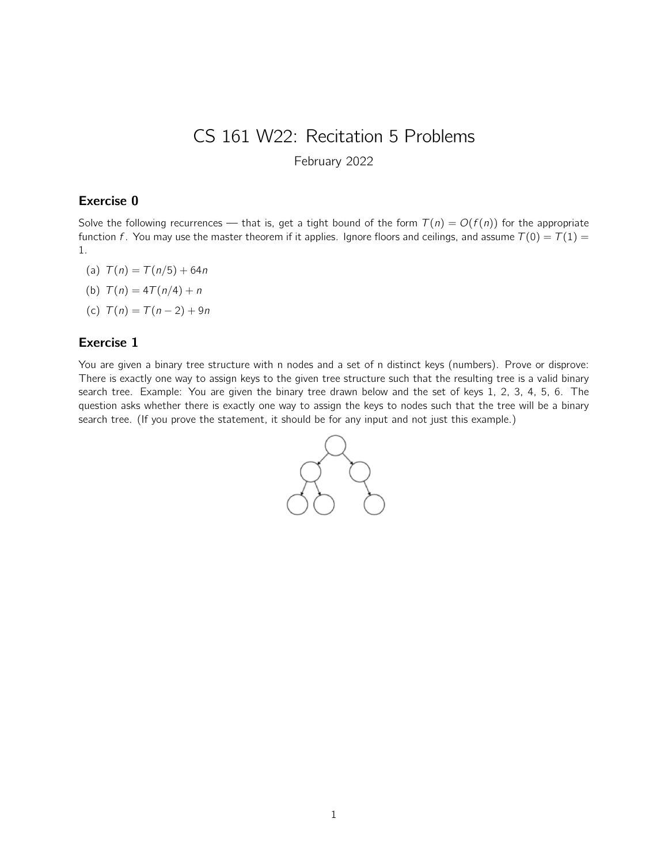# CS 161 W22: Recitation 5 Problems

February 2022

## Exercise 0

Solve the following recurrences — that is, get a tight bound of the form  $T(n) = O(f(n))$  for the appropriate function f. You may use the master theorem if it applies. Ignore floors and ceilings, and assume  $T(0) = T(1) =$ 1.

- (a)  $T(n) = T(n/5) + 64n$
- (b)  $T(n) = 4T(n/4) + n$
- (c)  $T(n) = T(n-2) + 9n$

#### Exercise 1

You are given a binary tree structure with n nodes and a set of n distinct keys (numbers). Prove or disprove: There is exactly one way to assign keys to the given tree structure such that the resulting tree is a valid binary search tree. Example: You are given the binary tree drawn below and the set of keys 1, 2, 3, 4, 5, 6. The question asks whether there is exactly one way to assign the keys to nodes such that the tree will be a binary search tree. (If you prove the statement, it should be for any input and not just this example.)

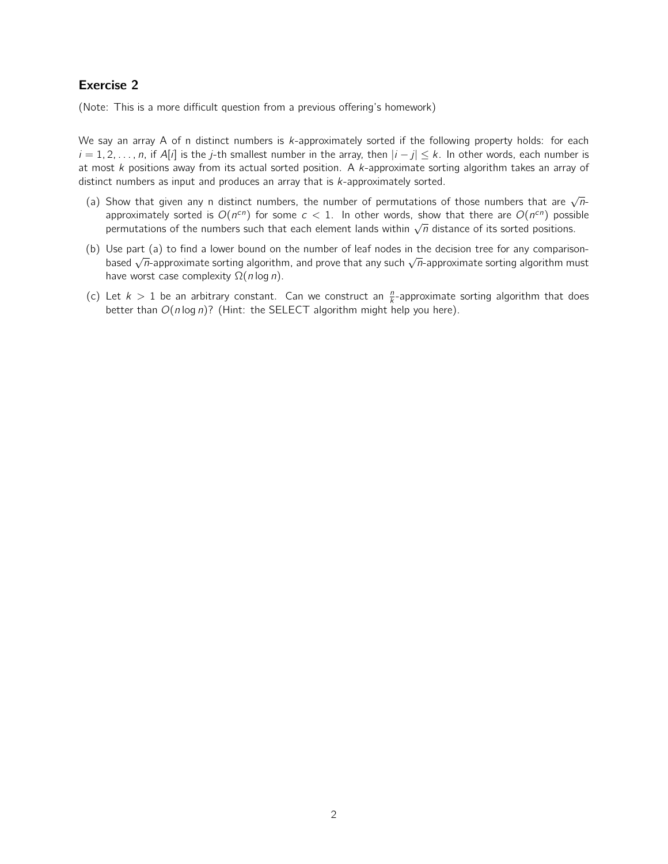# Exercise 2

(Note: This is a more difficult question from a previous offering's homework)

We say an array A of n distinct numbers is k-approximately sorted if the following property holds: for each  $i = 1, 2, \ldots, n$ , if A[i] is the j-th smallest number in the array, then  $|i - j| \leq k$ . In other words, each number is at most k positions away from its actual sorted position. A k-approximate sorting algorithm takes an array of distinct numbers as input and produces an array that is k-approximately sorted.

- (a) Show that given any n distinct numbers, the number of permutations of those numbers that are  $\sqrt{n}$ approximately sorted is  $O(n^{cn})$  for some  $c < 1$ . In other words, show that there are  $O(n^{cn})$  possible approximately sorted is  $O(n^2)$  for some  $c \le 1$ . In other words, show that there are  $O(n^2)$  possi-<br>permutations of the numbers such that each element lands within  $\sqrt{n}$  distance of its sorted positions.
- (b) Use part (a) to find a lower bound on the number of leaf nodes in the decision tree for any comparisonbased  $\sqrt{n}$ -approximate sorting algorithm, and prove that any such  $\sqrt{n}$ -approximate sorting algorithm must have worst case complexity  $\Omega(n \log n)$ .
- (c) Let  $k > 1$  be an arbitrary constant. Can we construct an  $\frac{n}{k}$ -approximate sorting algorithm that does better than  $O(n \log n)$ ? (Hint: the SELECT algorithm might help you here).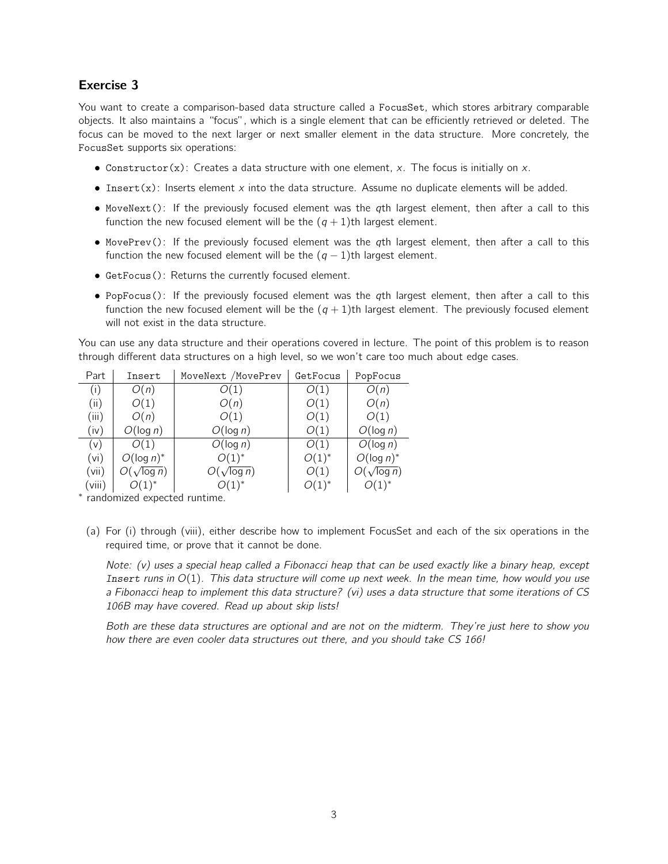### Exercise 3

You want to create a comparison-based data structure called a FocusSet, which stores arbitrary comparable objects. It also maintains a "focus", which is a single element that can be efficiently retrieved or deleted. The focus can be moved to the next larger or next smaller element in the data structure. More concretely, the FocusSet supports six operations:

- Constructor $(x)$ : Creates a data structure with one element, x. The focus is initially on x.
- Insert(x): Inserts element x into the data structure. Assume no duplicate elements will be added.
- MoveNext(): If the previously focused element was the qth largest element, then after a call to this function the new focused element will be the  $(q + 1)$ th largest element.
- MovePrev(): If the previously focused element was the qth largest element, then after a call to this function the new focused element will be the  $(q - 1)$ th largest element.
- GetFocus(): Returns the currently focused element.
- PopFocus(): If the previously focused element was the qth largest element, then after a call to this function the new focused element will be the  $(q + 1)$ th largest element. The previously focused element will not exist in the data structure.

You can use any data structure and their operations covered in lecture. The point of this problem is to reason through different data structures on a high level, so we won't care too much about edge cases.

| Part   | Insert             | MoveNext /MovePrev | GetFocus   | PopFocus           |
|--------|--------------------|--------------------|------------|--------------------|
| (i)    | O(n)               | O(1)               | O(1)       | O(n)               |
| (ii)   | O(1)               | O(n)               | O(1)       | O(n)               |
| (iii)  | O(n)               | O(1)               | O(1)       | O(1)               |
| (iv)   | O(log n)           | O(log n)           | O(1)       | O(log n)           |
| (v)    | O(1)               | O(log n)           | O(1)       | O(log n)           |
| (vi)   | $O(\log n)^{*}$    | $O(1)^{*}$         | $O(1)^{*}$ | $O(\log n)^*$      |
| (vii)  | $O(\sqrt{\log n})$ | $O(\sqrt{\log n})$ | O(1)       | $O(\sqrt{\log n})$ |
| (viii) | $O(1)^{*}$         | $O(1)^{*}$         | $O(1)^{*}$ | $O(1)^{*}$         |

∗ randomized expected runtime.

(a) For (i) through (viii), either describe how to implement FocusSet and each of the six operations in the required time, or prove that it cannot be done.

Note: (v) uses a special heap called a Fibonacci heap that can be used exactly like a binary heap, except Insert runs in  $O(1)$ . This data structure will come up next week. In the mean time, how would you use a Fibonacci heap to implement this data structure? (vi) uses a data structure that some iterations of CS 106B may have covered. Read up about skip lists!

Both are these data structures are optional and are not on the midterm. They're just here to show you how there are even cooler data structures out there, and you should take CS 166!